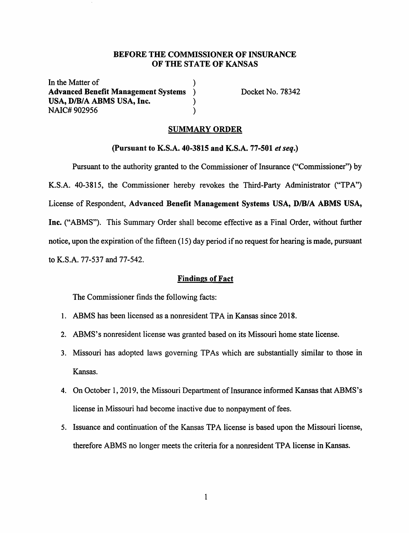## **BEFORE THE COMMISSIONER OF INSURANCE OF THE STATE OF KANSAS**

In the Matter of **Advanced Benefit Management Systems** ) USA, D/B/A ABMS USA, Inc.  $)$ NAIC# 902956 )

Docket No. 78342

# **SUMMARY ORDER**

**(Pursuant to K.S.A. 40-3815 and K.S.A. 77-501** *et seq.)* 

Pursuant to the authority granted to the Commissioner of Insurance ("Commissioner") by **K.S.A.** 40-3815, the Commissioner hereby revokes the Third-Party Administrator ("TPA") License of Respondent, **Advanced Benefit Management Systems USA, D/B/A ABMS USA, Inc.** ("ABMS"). This Summary Order shall become effective as a Final Order, without further notice, upon the expiration of the fifteen (15) day period if no request for hearing is made, pursuant to K.S.A. 77-537 and 77-542.

### **Findings of Fact**

The Commissioner finds the following facts:

- I. ABMS has been licensed as a nonresident TPA in Kansas since 2018.
- 2. ABMS's nonresident license was granted based on its Missouri home state license.
- 3. Missouri has adopted laws governing TPAs which are substantially similar to those in Kansas.
- 4. On October 1, 2019, the Missouri Department of Insurance informed Kansas that ABMS's license in Missouri had become inactive due to nonpayment of fees.
- 5. Issuance and continuation of the Kansas TPA license is based upon the Missouri license, therefore ABMS no longer meets the criteria for a nonresident TPA license in Kansas.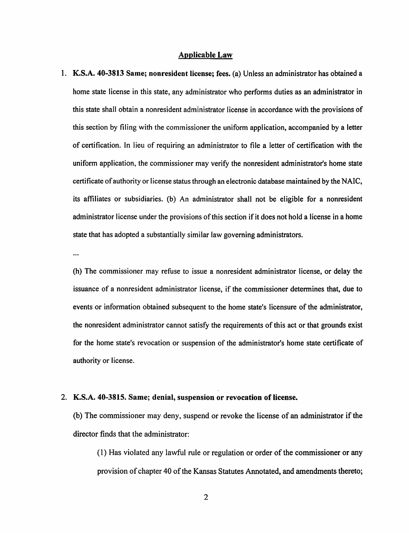#### **Applicable Law**

1. **K.S.A. 40-3813 Same; nonresident license; fees.** (a) Unless an administrator has obtained a home state license in this state, any administrator who performs duties as an administrator in this state shall obtain a nonresident administrator license in accordance with the provisions of this section by filing with the commissioner the uniform application, accompanied by a letter of certification. In lieu of requiring an administrator to file a letter of certification with the uniform application, the commissioner may verify the nonresident administrator's home state certificate of authority or license status through an electronic database maintained by the NAIC, its affiliates or subsidiaries. (b) An administrator shall not be eligible for a nonresident administrator license under the provisions of this section if it does not hold a license in a home state that has adopted a substantially similar law governing administrators.

 $\ddotsc$ 

(h) The commissioner may refuse to issue a nonresident administrator license, or delay the issuance of a nonresident administrator license, if the commissioner determines that, due to events or information obtained subsequent to the home state's licensure of the administrator, the nonresident administrator cannot satisfy the requirements of this act or that grounds exist for the home state's revocation or suspension of the administrator's home state certificate of authority or license.

#### 2. **K.S.A. 40-3815. Same; denial, suspension or revocation of license.**

(b) The commissioner may deny, suspend or revoke the license of an administrator if the director finds that the administrator:

(I) Has violated any lawful rule or regulation or order of the commissioner or any provision of chapter 40 of the Kansas Statutes Annotated, and amendments thereto;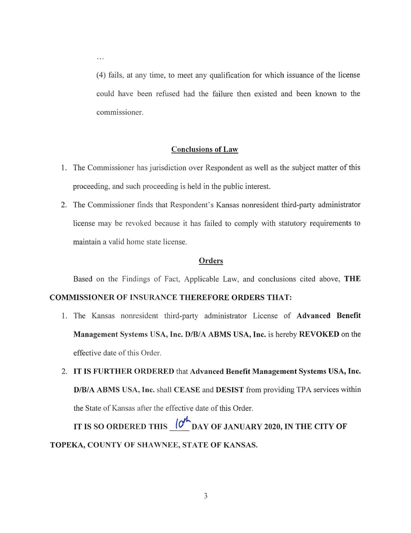(4) fails, at any time, to meet any qualification for which issuance of the license could have been refused had the failure then existed and been known to the commissioner.

### **Conclusions of Law**

- 1. The Commissioner has jurisdiction over Respondent as well as the subject matter of this proceeding, and such proceeding is held in the public interest.
- 2. The Commissioner finds that Respondent's Kansas nonresident third-party administrator license may be revoked because it has failed to comply with statutory requirements to maintain a valid home state license.

#### **Orders**

Based on the Findings of Fact, Applicable Law, and conclusions cited above, **THE** 

## **COMMISSIONER OF INSURANCE THEREFORE ORDERS THAT:**

. . .

- 1. The Kansas nonresident third-party administrator License of Advanced Benefit **Management Systems USA, Inc. D/B/A ABMS USA, Inc.** is hereby **REVOKED** on the effective date of this Order.
- 2. **IT IS FURTHER ORDERED** that **Advanced Benefit Management Systems USA, Inc. D/B/A ABMS USA, Inc.** shall **CEASE** and **DESIST** from providing TPA services within the State of Kansas after the effective date of this Order.

**IT IS SO ORDERED THIS**  $\overline{O^{\prime}}_{\rm DAY}$  of JANUARY 2020, IN THE CITY OF **TOPEKA, COUNTY OF SHAWNEE, STATE OF KANSAS.**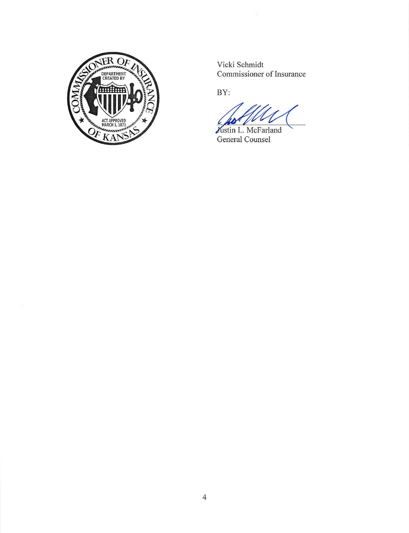

2

Vicki Schmidt Commissioner of Insurance

BY:

Justin L. McFarland General Counsel